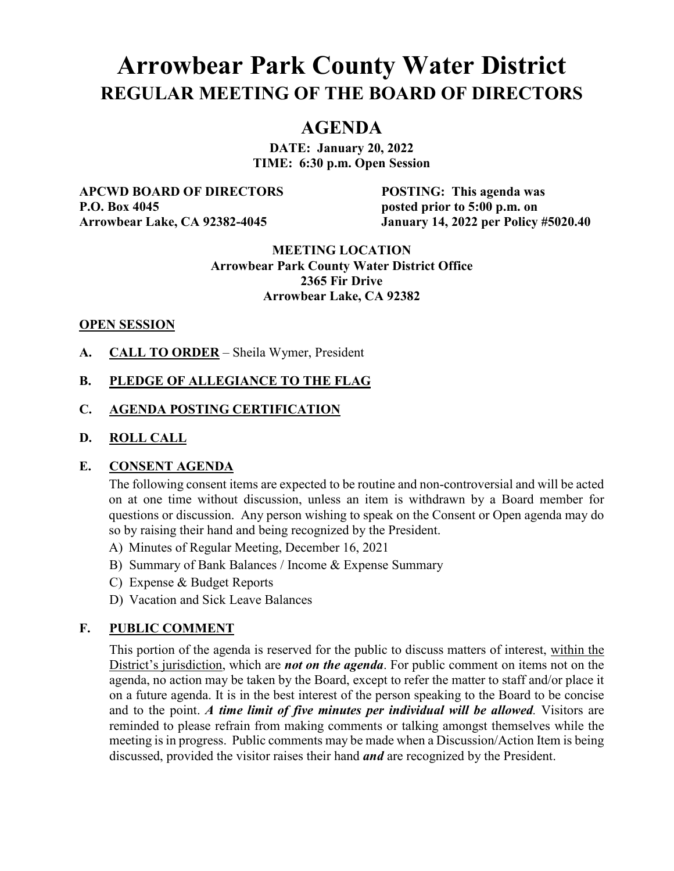# **Arrowbear Park County Water District REGULAR MEETING OF THE BOARD OF DIRECTORS**

## **AGENDA**

**DATE: January 20, 2022 TIME: 6:30 p.m. Open Session**

**APCWD BOARD OF DIRECTORS POSTING: This agenda was P.O. Box 4045 posted prior to 5:00 p.m. on** 

**Arrowbear Lake, CA 92382-4045 January 14, 2022 per Policy #5020.40**

#### **MEETING LOCATION Arrowbear Park County Water District Office 2365 Fir Drive Arrowbear Lake, CA 92382**

#### **OPEN SESSION**

**A. CALL TO ORDER** – Sheila Wymer, President

#### **B. PLEDGE OF ALLEGIANCE TO THE FLAG**

#### **C. AGENDA POSTING CERTIFICATION**

#### **D. ROLL CALL**

#### **E. CONSENT AGENDA**

The following consent items are expected to be routine and non-controversial and will be acted on at one time without discussion, unless an item is withdrawn by a Board member for questions or discussion. Any person wishing to speak on the Consent or Open agenda may do so by raising their hand and being recognized by the President.

- A) Minutes of Regular Meeting, December 16, 2021
- B) Summary of Bank Balances / Income & Expense Summary
- C) Expense & Budget Reports
- D) Vacation and Sick Leave Balances

#### **F. PUBLIC COMMENT**

This portion of the agenda is reserved for the public to discuss matters of interest, within the District's jurisdiction, which are *not on the agenda*. For public comment on items not on the agenda, no action may be taken by the Board, except to refer the matter to staff and/or place it on a future agenda. It is in the best interest of the person speaking to the Board to be concise and to the point. *A time limit of five minutes per individual will be allowed.* Visitors are reminded to please refrain from making comments or talking amongst themselves while the meeting is in progress. Public comments may be made when a Discussion/Action Item is being discussed, provided the visitor raises their hand *and* are recognized by the President.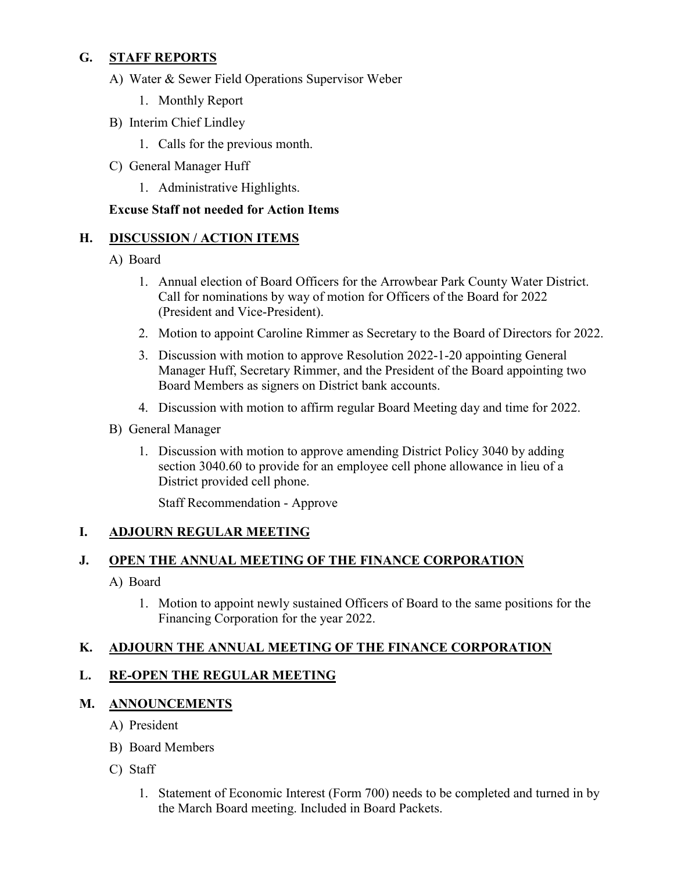## **G. STAFF REPORTS**

- A) Water & Sewer Field Operations Supervisor Weber
	- 1. Monthly Report
- B) Interim Chief Lindley
	- 1. Calls for the previous month.
- C) General Manager Huff
	- 1. Administrative Highlights.

#### **Excuse Staff not needed for Action Items**

#### **H. DISCUSSION / ACTION ITEMS**

- A) Board
	- 1. Annual election of Board Officers for the Arrowbear Park County Water District. Call for nominations by way of motion for Officers of the Board for 2022 (President and Vice-President).
	- 2. Motion to appoint Caroline Rimmer as Secretary to the Board of Directors for 2022.
	- 3. Discussion with motion to approve Resolution 2022-1-20 appointing General Manager Huff, Secretary Rimmer, and the President of the Board appointing two Board Members as signers on District bank accounts.
	- 4. Discussion with motion to affirm regular Board Meeting day and time for 2022.
- B) General Manager
	- 1. Discussion with motion to approve amending District Policy 3040 by adding section 3040.60 to provide for an employee cell phone allowance in lieu of a District provided cell phone.

Staff Recommendation - Approve

## **I. ADJOURN REGULAR MEETING**

## **J. OPEN THE ANNUAL MEETING OF THE FINANCE CORPORATION**

- A) Board
	- 1. Motion to appoint newly sustained Officers of Board to the same positions for the Financing Corporation for the year 2022.

## **K. ADJOURN THE ANNUAL MEETING OF THE FINANCE CORPORATION**

## **L. RE-OPEN THE REGULAR MEETING**

## **M. ANNOUNCEMENTS**

- A) President
- B) Board Members
- C) Staff
	- 1. Statement of Economic Interest (Form 700) needs to be completed and turned in by the March Board meeting. Included in Board Packets.